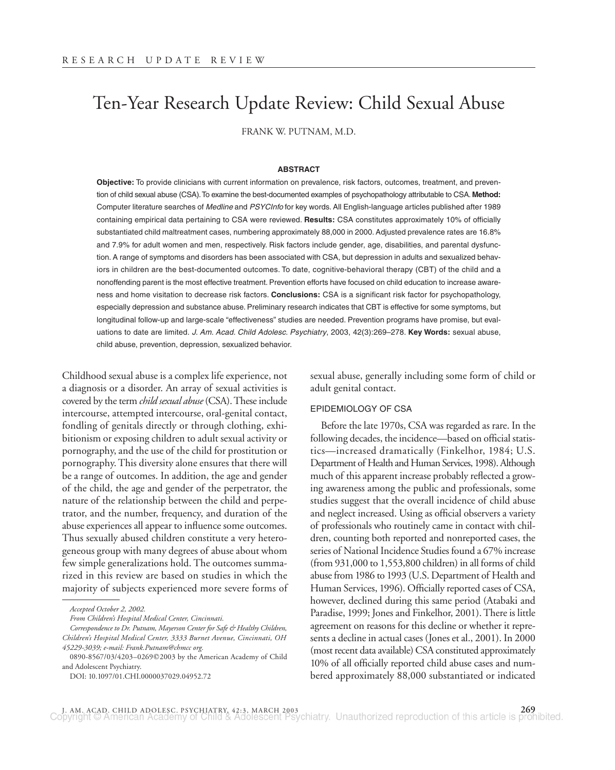# Ten-Year Research Update Review: Child Sexual Abuse

FRANK W. PUTNAM, M.D.

#### **ABSTRACT**

**Objective:** To provide clinicians with current information on prevalence, risk factors, outcomes, treatment, and prevention of child sexual abuse (CSA).To examine the best-documented examples of psychopathology attributable to CSA. **Method:** Computer literature searches of *Medline* and *PSYCInfo* for key words. All English-language articles published after 1989 containing empirical data pertaining to CSA were reviewed. **Results:** CSA constitutes approximately 10% of officially substantiated child maltreatment cases, numbering approximately 88,000 in 2000. Adjusted prevalence rates are 16.8% and 7.9% for adult women and men, respectively. Risk factors include gender, age, disabilities, and parental dysfunction. A range of symptoms and disorders has been associated with CSA, but depression in adults and sexualized behaviors in children are the best-documented outcomes. To date, cognitive-behavioral therapy (CBT) of the child and a nonoffending parent is the most effective treatment. Prevention efforts have focused on child education to increase awareness and home visitation to decrease risk factors. **Conclusions:** CSA is a significant risk factor for psychopathology, especially depression and substance abuse. Preliminary research indicates that CBT is effective for some symptoms, but longitudinal follow-up and large-scale "effectiveness" studies are needed. Prevention programs have promise, but evaluations to date are limited. *J. Am. Acad. Child Adolesc. Psychiatry*, 2003, 42(3):269–278. **Key Words:** sexual abuse, child abuse, prevention, depression, sexualized behavior.

Childhood sexual abuse is a complex life experience, not a diagnosis or a disorder. An array of sexual activities is covered by the term *child sexual abuse* (CSA). These include intercourse, attempted intercourse, oral-genital contact, fondling of genitals directly or through clothing, exhibitionism or exposing children to adult sexual activity or pornography, and the use of the child for prostitution or pornography. This diversity alone ensures that there will be a range of outcomes. In addition, the age and gender of the child, the age and gender of the perpetrator, the nature of the relationship between the child and perpetrator, and the number, frequency, and duration of the abuse experiences all appear to influence some outcomes. Thus sexually abused children constitute a very heterogeneous group with many degrees of abuse about whom few simple generalizations hold. The outcomes summarized in this review are based on studies in which the majority of subjects experienced more severe forms of

*From Children's Hospital Medical Center, Cincinnati.*

sexual abuse, generally including some form of child or adult genital contact.

# EPIDEMIOLOGY OF CSA

Before the late 1970s, CSA was regarded as rare. In the following decades, the incidence—based on official statistics—increased dramatically (Finkelhor, 1984; U.S. Department of Health and Human Services, 1998). Although much of this apparent increase probably reflected a growing awareness among the public and professionals, some studies suggest that the overall incidence of child abuse and neglect increased. Using as official observers a variety of professionals who routinely came in contact with children, counting both reported and nonreported cases, the series of National Incidence Studies found a 67% increase (from 931,000 to 1,553,800 children) in all forms of child abuse from 1986 to 1993 (U.S. Department of Health and Human Services, 1996). Officially reported cases of CSA, however, declined during this same period (Atabaki and Paradise, 1999; Jones and Finkelhor, 2001). There is little agreement on reasons for this decline or whether it represents a decline in actual cases (Jones et al., 2001). In 2000 (most recent data available) CSA constituted approximately 10% of all officially reported child abuse cases and numbered approximately 88,000 substantiated or indicated

*Accepted October 2, 2002.*

*Correspondence to Dr. Putnam, Mayerson Center for Safe & Healthy Children, Children's Hospital Medical Center, 3333 Burnet Avenue, Cincinnati, OH 45229-3039; e-mail: Frank.Putnam@chmcc org.*

<sup>0890-8567/03/4203-0269©2003</sup> by the American Academy of Child and Adolescent Psychiatry.

DOI: 10.1097/01.CHI.0000037029.04952.72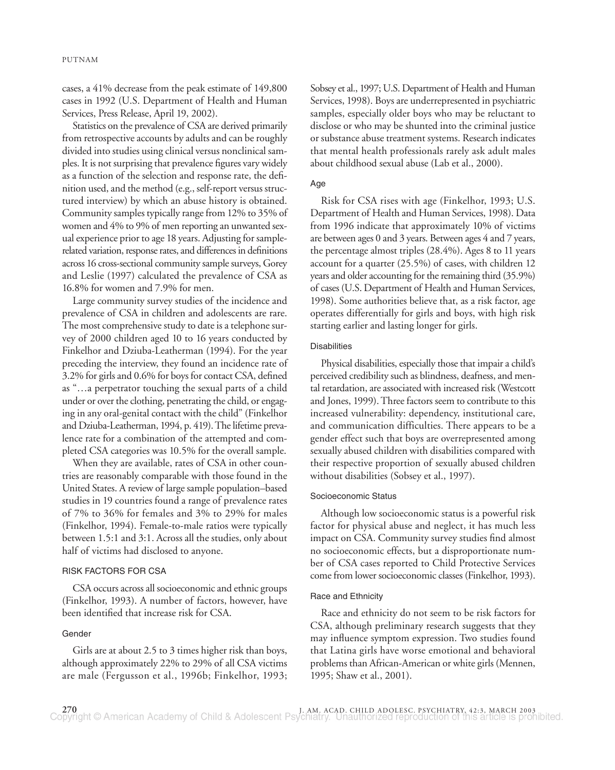cases, a 41% decrease from the peak estimate of 149,800 cases in 1992 (U.S. Department of Health and Human Services, Press Release, April 19, 2002).

Statistics on the prevalence of CSA are derived primarily from retrospective accounts by adults and can be roughly divided into studies using clinical versus nonclinical samples. It is not surprising that prevalence figures vary widely as a function of the selection and response rate, the definition used, and the method (e.g., self-report versus structured interview) by which an abuse history is obtained. Community samples typically range from 12% to 35% of women and 4% to 9% of men reporting an unwanted sexual experience prior to age 18 years. Adjusting for samplerelated variation, response rates, and differences in definitions across 16 cross-sectional community sample surveys, Gorey and Leslie (1997) calculated the prevalence of CSA as 16.8% for women and 7.9% for men.

Large community survey studies of the incidence and prevalence of CSA in children and adolescents are rare. The most comprehensive study to date is a telephone survey of 2000 children aged 10 to 16 years conducted by Finkelhor and Dziuba-Leatherman (1994). For the year preceding the interview, they found an incidence rate of 3.2% for girls and 0.6% for boys for contact CSA, defined as "…a perpetrator touching the sexual parts of a child under or over the clothing, penetrating the child, or engaging in any oral-genital contact with the child" (Finkelhor and Dziuba-Leatherman, 1994, p. 419). The lifetime prevalence rate for a combination of the attempted and completed CSA categories was 10.5% for the overall sample.

When they are available, rates of CSA in other countries are reasonably comparable with those found in the United States. A review of large sample population–based studies in 19 countries found a range of prevalence rates of 7% to 36% for females and 3% to 29% for males (Finkelhor, 1994). Female-to-male ratios were typically between 1.5:1 and 3:1. Across all the studies, only about half of victims had disclosed to anyone.

# RISK FACTORS FOR CSA

CSA occurs across all socioeconomic and ethnic groups (Finkelhor, 1993). A number of factors, however, have been identified that increase risk for CSA.

# Gender

Girls are at about 2.5 to 3 times higher risk than boys, although approximately 22% to 29% of all CSA victims are male (Fergusson et al., 1996b; Finkelhor, 1993; Sobsey et al., 1997; U.S. Department of Health and Human Services, 1998). Boys are underrepresented in psychiatric samples, especially older boys who may be reluctant to disclose or who may be shunted into the criminal justice or substance abuse treatment systems. Research indicates that mental health professionals rarely ask adult males about childhood sexual abuse (Lab et al., 2000).

# Age

Risk for CSA rises with age (Finkelhor, 1993; U.S. Department of Health and Human Services, 1998). Data from 1996 indicate that approximately 10% of victims are between ages 0 and 3 years. Between ages 4 and 7 years, the percentage almost triples (28.4%). Ages 8 to 11 years account for a quarter (25.5%) of cases, with children 12 years and older accounting for the remaining third (35.9%) of cases (U.S. Department of Health and Human Services, 1998). Some authorities believe that, as a risk factor, age operates differentially for girls and boys, with high risk starting earlier and lasting longer for girls.

#### **Disabilities**

Physical disabilities, especially those that impair a child's perceived credibility such as blindness, deafness, and mental retardation, are associated with increased risk (Westcott and Jones, 1999). Three factors seem to contribute to this increased vulnerability: dependency, institutional care, and communication difficulties. There appears to be a gender effect such that boys are overrepresented among sexually abused children with disabilities compared with their respective proportion of sexually abused children without disabilities (Sobsey et al., 1997).

#### Socioeconomic Status

Although low socioeconomic status is a powerful risk factor for physical abuse and neglect, it has much less impact on CSA. Community survey studies find almost no socioeconomic effects, but a disproportionate number of CSA cases reported to Child Protective Services come from lower socioeconomic classes (Finkelhor, 1993).

#### Race and Ethnicity

Race and ethnicity do not seem to be risk factors for CSA, although preliminary research suggests that they may influence symptom expression. Two studies found that Latina girls have worse emotional and behavioral problems than African-American or white girls (Mennen, 1995; Shaw et al., 2001).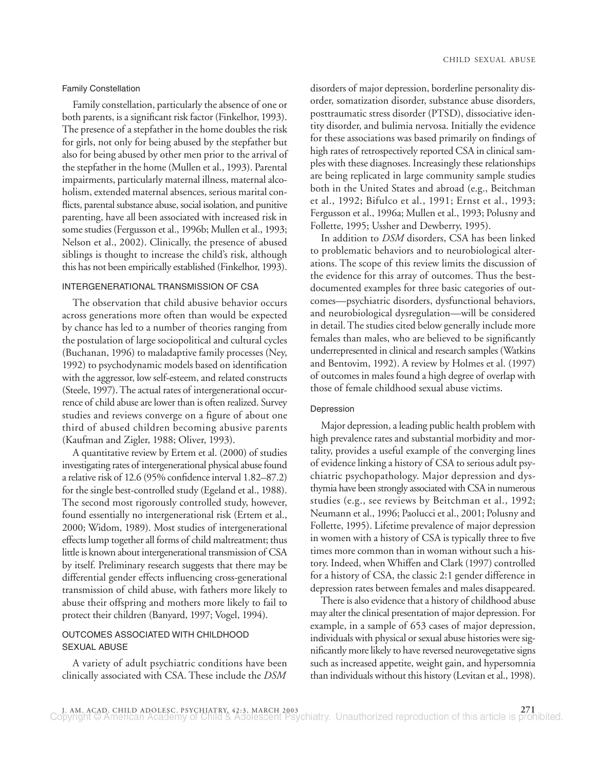Family Constellation

Family constellation, particularly the absence of one or both parents, is a significant risk factor (Finkelhor, 1993). The presence of a stepfather in the home doubles the risk for girls, not only for being abused by the stepfather but also for being abused by other men prior to the arrival of the stepfather in the home (Mullen et al., 1993). Parental impairments, particularly maternal illness, maternal alcoholism, extended maternal absences, serious marital conflicts, parental substance abuse, social isolation, and punitive parenting, have all been associated with increased risk in some studies (Fergusson et al., 1996b; Mullen et al., 1993; Nelson et al., 2002). Clinically, the presence of abused siblings is thought to increase the child's risk, although this has not been empirically established (Finkelhor, 1993).

# INTERGENERATIONAL TRANSMISSION OF CSA

The observation that child abusive behavior occurs across generations more often than would be expected by chance has led to a number of theories ranging from the postulation of large sociopolitical and cultural cycles (Buchanan, 1996) to maladaptive family processes (Ney, 1992) to psychodynamic models based on identification with the aggressor, low self-esteem, and related constructs (Steele, 1997). The actual rates of intergenerational occurrence of child abuse are lower than is often realized. Survey studies and reviews converge on a figure of about one third of abused children becoming abusive parents (Kaufman and Zigler, 1988; Oliver, 1993).

A quantitative review by Ertem et al. (2000) of studies investigating rates of intergenerational physical abuse found a relative risk of 12.6 (95% confidence interval 1.82–87.2) for the single best-controlled study (Egeland et al., 1988). The second most rigorously controlled study, however, found essentially no intergenerational risk (Ertem et al., 2000; Widom, 1989). Most studies of intergenerational effects lump together all forms of child maltreatment; thus little is known about intergenerational transmission of CSA by itself. Preliminary research suggests that there may be differential gender effects influencing cross-generational transmission of child abuse, with fathers more likely to abuse their offspring and mothers more likely to fail to protect their children (Banyard, 1997; Vogel, 1994).

# OUTCOMES ASSOCIATED WITH CHILDHOOD SEXUAL ABUSE

A variety of adult psychiatric conditions have been clinically associated with CSA. These include the *DSM* disorders of major depression, borderline personality disorder, somatization disorder, substance abuse disorders, posttraumatic stress disorder (PTSD), dissociative identity disorder, and bulimia nervosa. Initially the evidence for these associations was based primarily on findings of high rates of retrospectively reported CSA in clinical samples with these diagnoses. Increasingly these relationships are being replicated in large community sample studies both in the United States and abroad (e.g., Beitchman et al., 1992; Bifulco et al., 1991; Ernst et al., 1993; Fergusson et al., 1996a; Mullen et al., 1993; Polusny and Follette, 1995; Ussher and Dewberry, 1995).

In addition to *DSM* disorders, CSA has been linked to problematic behaviors and to neurobiological alterations. The scope of this review limits the discussion of the evidence for this array of outcomes. Thus the bestdocumented examples for three basic categories of outcomes—psychiatric disorders, dysfunctional behaviors, and neurobiological dysregulation—will be considered in detail. The studies cited below generally include more females than males, who are believed to be significantly underrepresented in clinical and research samples (Watkins and Bentovim, 1992). A review by Holmes et al. (1997) of outcomes in males found a high degree of overlap with those of female childhood sexual abuse victims.

#### Depression

Major depression, a leading public health problem with high prevalence rates and substantial morbidity and mortality, provides a useful example of the converging lines of evidence linking a history of CSA to serious adult psychiatric psychopathology. Major depression and dysthymia have been strongly associated with CSA in numerous studies (e.g., see reviews by Beitchman et al., 1992; Neumann et al., 1996; Paolucci et al., 2001; Polusny and Follette, 1995). Lifetime prevalence of major depression in women with a history of CSA is typically three to five times more common than in woman without such a history. Indeed, when Whiffen and Clark (1997) controlled for a history of CSA, the classic 2:1 gender difference in depression rates between females and males disappeared.

There is also evidence that a history of childhood abuse may alter the clinical presentation of major depression. For example, in a sample of 653 cases of major depression, individuals with physical or sexual abuse histories were significantly more likely to have reversed neurovegetative signs such as increased appetite, weight gain, and hypersomnia than individuals without this history (Levitan et al., 1998).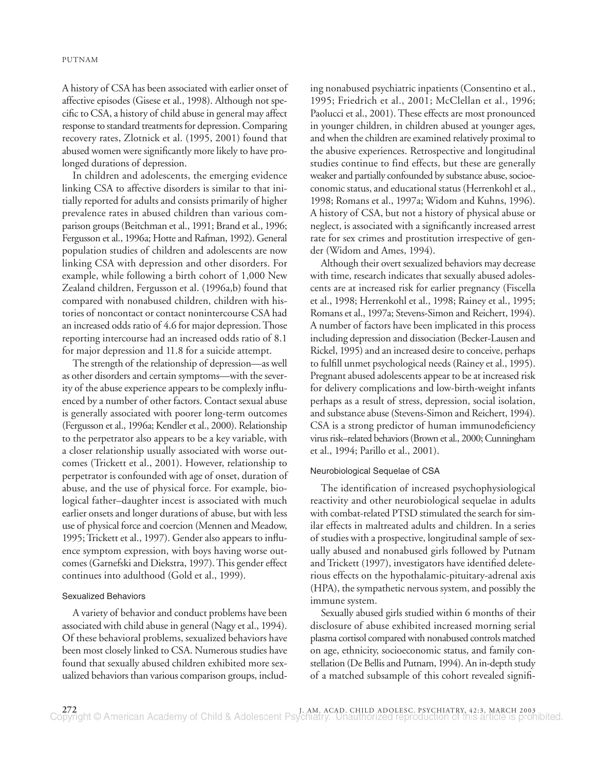A history of CSA has been associated with earlier onset of affective episodes (Gisese et al., 1998). Although not specific to CSA, a history of child abuse in general may affect response to standard treatments for depression. Comparing recovery rates, Zlotnick et al. (1995, 2001) found that abused women were significantly more likely to have prolonged durations of depression.

In children and adolescents, the emerging evidence linking CSA to affective disorders is similar to that initially reported for adults and consists primarily of higher prevalence rates in abused children than various comparison groups (Beitchman et al., 1991; Brand et al., 1996; Fergusson et al., 1996a; Hotte and Rafman, 1992). General population studies of children and adolescents are now linking CSA with depression and other disorders. For example, while following a birth cohort of 1,000 New Zealand children, Fergusson et al. (1996a,b) found that compared with nonabused children, children with histories of noncontact or contact nonintercourse CSA had an increased odds ratio of 4.6 for major depression. Those reporting intercourse had an increased odds ratio of 8.1 for major depression and 11.8 for a suicide attempt.

The strength of the relationship of depression—as well as other disorders and certain symptoms—with the severity of the abuse experience appears to be complexly influenced by a number of other factors. Contact sexual abuse is generally associated with poorer long-term outcomes (Fergusson et al., 1996a; Kendler et al., 2000). Relationship to the perpetrator also appears to be a key variable, with a closer relationship usually associated with worse outcomes (Trickett et al., 2001). However, relationship to perpetrator is confounded with age of onset, duration of abuse, and the use of physical force. For example, biological father–daughter incest is associated with much earlier onsets and longer durations of abuse, but with less use of physical force and coercion (Mennen and Meadow, 1995; Trickett et al., 1997). Gender also appears to influence symptom expression, with boys having worse outcomes (Garnefski and Diekstra, 1997). This gender effect continues into adulthood (Gold et al., 1999).

## Sexualized Behaviors

A variety of behavior and conduct problems have been associated with child abuse in general (Nagy et al., 1994). Of these behavioral problems, sexualized behaviors have been most closely linked to CSA. Numerous studies have found that sexually abused children exhibited more sexualized behaviors than various comparison groups, including nonabused psychiatric inpatients (Consentino et al., 1995; Friedrich et al., 2001; McClellan et al., 1996; Paolucci et al., 2001). These effects are most pronounced in younger children, in children abused at younger ages, and when the children are examined relatively proximal to the abusive experiences. Retrospective and longitudinal studies continue to find effects, but these are generally weaker and partially confounded by substance abuse, socioeconomic status, and educational status (Herrenkohl et al., 1998; Romans et al., 1997a; Widom and Kuhns, 1996). A history of CSA, but not a history of physical abuse or neglect, is associated with a significantly increased arrest rate for sex crimes and prostitution irrespective of gender (Widom and Ames, 1994).

Although their overt sexualized behaviors may decrease with time, research indicates that sexually abused adolescents are at increased risk for earlier pregnancy (Fiscella et al., 1998; Herrenkohl et al., 1998; Rainey et al., 1995; Romans et al., 1997a; Stevens-Simon and Reichert, 1994). A number of factors have been implicated in this process including depression and dissociation (Becker-Lausen and Rickel, 1995) and an increased desire to conceive, perhaps to fulfill unmet psychological needs (Rainey et al., 1995). Pregnant abused adolescents appear to be at increased risk for delivery complications and low-birth-weight infants perhaps as a result of stress, depression, social isolation, and substance abuse (Stevens-Simon and Reichert, 1994). CSA is a strong predictor of human immunodeficiency virus risk–related behaviors (Brown et al., 2000; Cunningham et al., 1994; Parillo et al., 2001).

#### Neurobiological Sequelae of CSA

The identification of increased psychophysiological reactivity and other neurobiological sequelae in adults with combat-related PTSD stimulated the search for similar effects in maltreated adults and children. In a series of studies with a prospective, longitudinal sample of sexually abused and nonabused girls followed by Putnam and Trickett (1997), investigators have identified deleterious effects on the hypothalamic-pituitary-adrenal axis (HPA), the sympathetic nervous system, and possibly the immune system.

Sexually abused girls studied within 6 months of their disclosure of abuse exhibited increased morning serial plasma cortisol compared with nonabused controls matched on age, ethnicity, socioeconomic status, and family constellation (De Bellis and Putnam, 1994). An in-depth study of a matched subsample of this cohort revealed signifi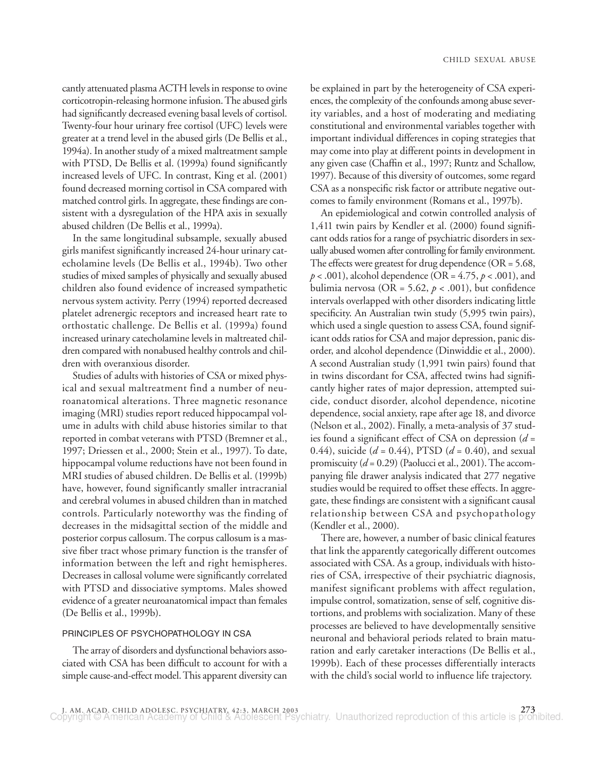cantly attenuated plasma ACTH levels in response to ovine corticotropin-releasing hormone infusion. The abused girls had significantly decreased evening basal levels of cortisol. Twenty-four hour urinary free cortisol (UFC) levels were greater at a trend level in the abused girls (De Bellis et al., 1994a). In another study of a mixed maltreatment sample with PTSD, De Bellis et al. (1999a) found significantly increased levels of UFC. In contrast, King et al. (2001) found decreased morning cortisol in CSA compared with matched control girls. In aggregate, these findings are consistent with a dysregulation of the HPA axis in sexually abused children (De Bellis et al., 1999a).

In the same longitudinal subsample, sexually abused girls manifest significantly increased 24-hour urinary catecholamine levels (De Bellis et al., 1994b). Two other studies of mixed samples of physically and sexually abused children also found evidence of increased sympathetic nervous system activity. Perry (1994) reported decreased platelet adrenergic receptors and increased heart rate to orthostatic challenge. De Bellis et al. (1999a) found increased urinary catecholamine levels in maltreated children compared with nonabused healthy controls and children with overanxious disorder.

Studies of adults with histories of CSA or mixed physical and sexual maltreatment find a number of neuroanatomical alterations. Three magnetic resonance imaging (MRI) studies report reduced hippocampal volume in adults with child abuse histories similar to that reported in combat veterans with PTSD (Bremner et al., 1997; Driessen et al., 2000; Stein et al., 1997). To date, hippocampal volume reductions have not been found in MRI studies of abused children. De Bellis et al. (1999b) have, however, found significantly smaller intracranial and cerebral volumes in abused children than in matched controls. Particularly noteworthy was the finding of decreases in the midsagittal section of the middle and posterior corpus callosum. The corpus callosum is a massive fiber tract whose primary function is the transfer of information between the left and right hemispheres. Decreases in callosal volume were significantly correlated with PTSD and dissociative symptoms. Males showed evidence of a greater neuroanatomical impact than females (De Bellis et al., 1999b).

#### PRINCIPLES OF PSYCHOPATHOLOGY IN CSA

The array of disorders and dysfunctional behaviors associated with CSA has been difficult to account for with a simple cause-and-effect model. This apparent diversity can be explained in part by the heterogeneity of CSA experiences, the complexity of the confounds among abuse severity variables, and a host of moderating and mediating constitutional and environmental variables together with important individual differences in coping strategies that may come into play at different points in development in any given case (Chaffin et al., 1997; Runtz and Schallow, 1997). Because of this diversity of outcomes, some regard CSA as a nonspecific risk factor or attribute negative outcomes to family environment (Romans et al., 1997b).

An epidemiological and cotwin controlled analysis of 1,411 twin pairs by Kendler et al. (2000) found significant odds ratios for a range of psychiatric disorders in sexually abused women after controlling for family environment. The effects were greatest for drug dependence (OR = 5.68, *p* < .001), alcohol dependence (OR = 4.75, *p* < .001), and bulimia nervosa (OR = 5.62,  $p < .001$ ), but confidence intervals overlapped with other disorders indicating little specificity. An Australian twin study (5,995 twin pairs), which used a single question to assess CSA, found significant odds ratios for CSA and major depression, panic disorder, and alcohol dependence (Dinwiddie et al., 2000). A second Australian study (1,991 twin pairs) found that in twins discordant for CSA, affected twins had significantly higher rates of major depression, attempted suicide, conduct disorder, alcohol dependence, nicotine dependence, social anxiety, rape after age 18, and divorce (Nelson et al., 2002). Finally, a meta-analysis of 37 studies found a significant effect of CSA on depression (*d* = 0.44), suicide (*d* = 0.44), PTSD (*d* = 0.40), and sexual promiscuity (*d* = 0.29) (Paolucci et al., 2001). The accompanying file drawer analysis indicated that 277 negative studies would be required to offset these effects. In aggregate, these findings are consistent with a significant causal relationship between CSA and psychopathology (Kendler et al., 2000).

There are, however, a number of basic clinical features that link the apparently categorically different outcomes associated with CSA. As a group, individuals with histories of CSA, irrespective of their psychiatric diagnosis, manifest significant problems with affect regulation, impulse control, somatization, sense of self, cognitive distortions, and problems with socialization. Many of these processes are believed to have developmentally sensitive neuronal and behavioral periods related to brain maturation and early caretaker interactions (De Bellis et al., 1999b). Each of these processes differentially interacts with the child's social world to influence life trajectory.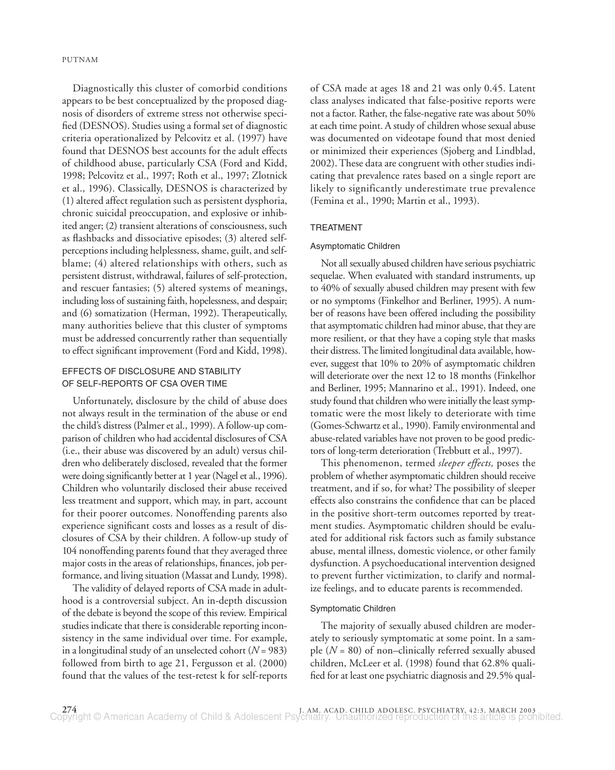Diagnostically this cluster of comorbid conditions appears to be best conceptualized by the proposed diagnosis of disorders of extreme stress not otherwise specified (DESNOS). Studies using a formal set of diagnostic criteria operationalized by Pelcovitz et al. (1997) have found that DESNOS best accounts for the adult effects of childhood abuse, particularly CSA (Ford and Kidd, 1998; Pelcovitz et al., 1997; Roth et al., 1997; Zlotnick et al., 1996). Classically, DESNOS is characterized by (1) altered affect regulation such as persistent dysphoria, chronic suicidal preoccupation, and explosive or inhibited anger; (2) transient alterations of consciousness, such as flashbacks and dissociative episodes; (3) altered selfperceptions including helplessness, shame, guilt, and selfblame; (4) altered relationships with others, such as persistent distrust, withdrawal, failures of self-protection, and rescuer fantasies; (5) altered systems of meanings, including loss of sustaining faith, hopelessness, and despair; and (6) somatization (Herman, 1992). Therapeutically, many authorities believe that this cluster of symptoms must be addressed concurrently rather than sequentially to effect significant improvement (Ford and Kidd, 1998).

# EFFECTS OF DISCLOSURE AND STABILITY OF SELF-REPORTS OF CSA OVER TIME

Unfortunately, disclosure by the child of abuse does not always result in the termination of the abuse or end the child's distress (Palmer et al., 1999). A follow-up comparison of children who had accidental disclosures of CSA (i.e., their abuse was discovered by an adult) versus children who deliberately disclosed, revealed that the former were doing significantly better at 1 year (Nagel et al., 1996). Children who voluntarily disclosed their abuse received less treatment and support, which may, in part, account for their poorer outcomes. Nonoffending parents also experience significant costs and losses as a result of disclosures of CSA by their children. A follow-up study of 104 nonoffending parents found that they averaged three major costs in the areas of relationships, finances, job performance, and living situation (Massat and Lundy, 1998).

The validity of delayed reports of CSA made in adulthood is a controversial subject. An in-depth discussion of the debate is beyond the scope of this review. Empirical studies indicate that there is considerable reporting inconsistency in the same individual over time. For example, in a longitudinal study of an unselected cohort (*N* = 983) followed from birth to age 21, Fergusson et al. (2000) found that the values of the test-retest k for self-reports of CSA made at ages 18 and 21 was only 0.45. Latent class analyses indicated that false-positive reports were not a factor. Rather, the false-negative rate was about 50% at each time point. A study of children whose sexual abuse was documented on videotape found that most denied or minimized their experiences (Sjoberg and Lindblad, 2002). These data are congruent with other studies indicating that prevalence rates based on a single report are likely to significantly underestimate true prevalence (Femina et al., 1990; Martin et al., 1993).

# TREATMENT

#### Asymptomatic Children

Not all sexually abused children have serious psychiatric sequelae. When evaluated with standard instruments, up to 40% of sexually abused children may present with few or no symptoms (Finkelhor and Berliner, 1995). A number of reasons have been offered including the possibility that asymptomatic children had minor abuse, that they are more resilient, or that they have a coping style that masks their distress. The limited longitudinal data available, however, suggest that 10% to 20% of asymptomatic children will deteriorate over the next 12 to 18 months (Finkelhor and Berliner, 1995; Mannarino et al., 1991). Indeed, one study found that children who were initially the least symptomatic were the most likely to deteriorate with time (Gomes-Schwartz et al., 1990). Family environmental and abuse-related variables have not proven to be good predictors of long-term deterioration (Trebbutt et al., 1997).

This phenomenon, termed *sleeper effects,* poses the problem of whether asymptomatic children should receive treatment, and if so, for what? The possibility of sleeper effects also constrains the confidence that can be placed in the positive short-term outcomes reported by treatment studies. Asymptomatic children should be evaluated for additional risk factors such as family substance abuse, mental illness, domestic violence, or other family dysfunction. A psychoeducational intervention designed to prevent further victimization, to clarify and normalize feelings, and to educate parents is recommended.

#### Symptomatic Children

The majority of sexually abused children are moderately to seriously symptomatic at some point. In a sample (*N* = 80) of non–clinically referred sexually abused children, McLeer et al. (1998) found that 62.8% qualified for at least one psychiatric diagnosis and 29.5% qual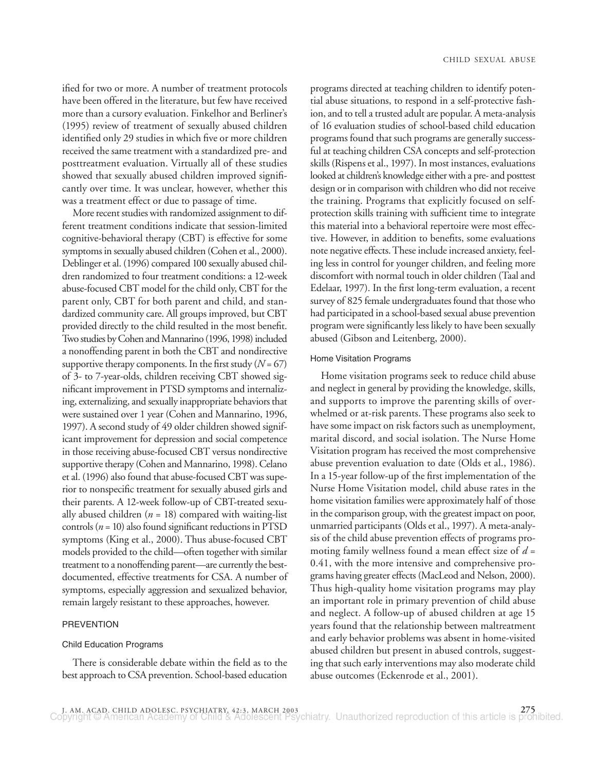ified for two or more. A number of treatment protocols have been offered in the literature, but few have received more than a cursory evaluation. Finkelhor and Berliner's (1995) review of treatment of sexually abused children identified only 29 studies in which five or more children received the same treatment with a standardized pre- and posttreatment evaluation. Virtually all of these studies showed that sexually abused children improved significantly over time. It was unclear, however, whether this was a treatment effect or due to passage of time.

More recent studies with randomized assignment to different treatment conditions indicate that session-limited cognitive-behavioral therapy (CBT) is effective for some symptoms in sexually abused children (Cohen et al., 2000). Deblinger et al. (1996) compared 100 sexually abused children randomized to four treatment conditions: a 12-week abuse-focused CBT model for the child only, CBT for the parent only, CBT for both parent and child, and standardized community care. All groups improved, but CBT provided directly to the child resulted in the most benefit. Two studies by Cohen and Mannarino (1996, 1998) included a nonoffending parent in both the CBT and nondirective supportive therapy components. In the first study  $(N = 67)$ of 3- to 7-year-olds, children receiving CBT showed significant improvement in PTSD symptoms and internalizing, externalizing, and sexually inappropriate behaviors that were sustained over 1 year (Cohen and Mannarino, 1996, 1997). A second study of 49 older children showed significant improvement for depression and social competence in those receiving abuse-focused CBT versus nondirective supportive therapy (Cohen and Mannarino, 1998). Celano et al. (1996) also found that abuse-focused CBT was superior to nonspecific treatment for sexually abused girls and their parents. A 12-week follow-up of CBT-treated sexually abused children ( $n = 18$ ) compared with waiting-list controls ( $n = 10$ ) also found significant reductions in PTSD symptoms (King et al., 2000). Thus abuse-focused CBT models provided to the child—often together with similar treatment to a nonoffending parent—are currently the bestdocumented, effective treatments for CSA. A number of symptoms, especially aggression and sexualized behavior, remain largely resistant to these approaches, however.

#### **PREVENTION**

#### Child Education Programs

There is considerable debate within the field as to the best approach to CSA prevention. School-based education

programs directed at teaching children to identify potential abuse situations, to respond in a self-protective fashion, and to tell a trusted adult are popular. A meta-analysis of 16 evaluation studies of school-based child education programs found that such programs are generally successful at teaching children CSA concepts and self-protection skills (Rispens et al., 1997). In most instances, evaluations looked at children's knowledge either with a pre- and posttest design or in comparison with children who did not receive the training. Programs that explicitly focused on selfprotection skills training with sufficient time to integrate this material into a behavioral repertoire were most effective. However, in addition to benefits, some evaluations note negative effects. These include increased anxiety, feeling less in control for younger children, and feeling more discomfort with normal touch in older children (Taal and Edelaar, 1997). In the first long-term evaluation, a recent survey of 825 female undergraduates found that those who had participated in a school-based sexual abuse prevention program were significantly less likely to have been sexually abused (Gibson and Leitenberg, 2000).

#### Home Visitation Programs

Home visitation programs seek to reduce child abuse and neglect in general by providing the knowledge, skills, and supports to improve the parenting skills of overwhelmed or at-risk parents. These programs also seek to have some impact on risk factors such as unemployment, marital discord, and social isolation. The Nurse Home Visitation program has received the most comprehensive abuse prevention evaluation to date (Olds et al., 1986). In a 15-year follow-up of the first implementation of the Nurse Home Visitation model, child abuse rates in the home visitation families were approximately half of those in the comparison group, with the greatest impact on poor, unmarried participants (Olds et al., 1997). A meta-analysis of the child abuse prevention effects of programs promoting family wellness found a mean effect size of *d* = 0.41, with the more intensive and comprehensive programs having greater effects (MacLeod and Nelson, 2000). Thus high-quality home visitation programs may play an important role in primary prevention of child abuse and neglect. A follow-up of abused children at age 15 years found that the relationship between maltreatment and early behavior problems was absent in home-visited abused children but present in abused controls, suggesting that such early interventions may also moderate child abuse outcomes (Eckenrode et al., 2001).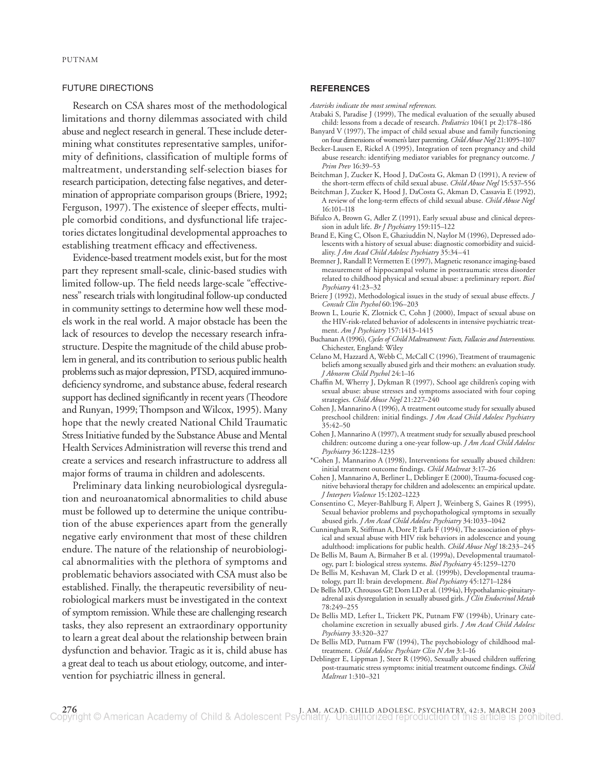## FUTURE DIRECTIONS

Research on CSA shares most of the methodological limitations and thorny dilemmas associated with child abuse and neglect research in general. These include determining what constitutes representative samples, uniformity of definitions, classification of multiple forms of maltreatment, understanding self-selection biases for research participation, detecting false negatives, and determination of appropriate comparison groups (Briere, 1992; Ferguson, 1997). The existence of sleeper effects, multiple comorbid conditions, and dysfunctional life trajectories dictates longitudinal developmental approaches to establishing treatment efficacy and effectiveness.

Evidence-based treatment models exist, but for the most part they represent small-scale, clinic-based studies with limited follow-up. The field needs large-scale "effectiveness" research trials with longitudinal follow-up conducted in community settings to determine how well these models work in the real world. A major obstacle has been the lack of resources to develop the necessary research infrastructure. Despite the magnitude of the child abuse problem in general, and its contribution to serious public health problems such as major depression, PTSD, acquired immunodeficiency syndrome, and substance abuse, federal research support has declined significantly in recent years (Theodore and Runyan, 1999; Thompson and Wilcox, 1995). Many hope that the newly created National Child Traumatic Stress Initiative funded by the Substance Abuse and Mental Health Services Administration will reverse this trend and create a services and research infrastructure to address all major forms of trauma in children and adolescents.

Preliminary data linking neurobiological dysregulation and neuroanatomical abnormalities to child abuse must be followed up to determine the unique contribution of the abuse experiences apart from the generally negative early environment that most of these children endure. The nature of the relationship of neurobiological abnormalities with the plethora of symptoms and problematic behaviors associated with CSA must also be established. Finally, the therapeutic reversibility of neurobiological markers must be investigated in the context of symptom remission. While these are challenging research tasks, they also represent an extraordinary opportunity to learn a great deal about the relationship between brain dysfunction and behavior. Tragic as it is, child abuse has a great deal to teach us about etiology, outcome, and intervention for psychiatric illness in general.

#### **REFERENCES**

*Asterisks indicate the most seminal references.*

- Atabaki S, Paradise J (1999), The medical evaluation of the sexually abused child: lessons from a decade of research. *Pediatrics* 104(1 pt 2):178–186
- Banyard V (1997), The impact of child sexual abuse and family functioning on four dimensions of women's later parenting. *Child Abuse Negl* 21:1095–1107
- Becker-Lausen E, Rickel A (1995), Integration of teen pregnancy and child abuse research: identifying mediator variables for pregnancy outcome. *J Prim Prev* 16:39–53
- Beitchman J, Zucker K, Hood J, DaCosta G, Akman D (1991), A review of the short-term effects of child sexual abuse. *Child Abuse Negl* 15:537–556
- Beitchman J, Zucker K, Hood J, DaCosta G, Akman D, Cassavia E (1992), A review of the long-term effects of child sexual abuse. *Child Abuse Negl* 16:101–118
- Bifulco A, Brown G, Adler Z (1991), Early sexual abuse and clinical depression in adult life. *Br J Psychiatry* 159:115–122
- Brand E, King C, Olson E, Ghaziuddin N, Naylor M (1996), Depressed adolescents with a history of sexual abuse: diagnostic comorbidity and suicidality. *J Am Acad Child Adolesc Psychiatry* 35:34–41
- Bremner J, Randall P, Vermetten E (1997), Magnetic resonance imaging-based measurement of hippocampal volume in posttraumatic stress disorder related to childhood physical and sexual abuse: a preliminary report. *Biol Psychiatry* 41:23–32
- Briere J (1992), Methodological issues in the study of sexual abuse effects. *J Consult Clin Psychol* 60:196–203
- Brown L, Lourie K, Zlotnick C, Cohn J (2000), Impact of sexual abuse on the HIV-risk-related behavior of adolescents in intensive psychiatric treatment. *Am J Psychiatry* 157:1413–1415
- Buchanan A (1996), *Cycles of Child Maltreatment: Facts, Fallacies and Interventions.* Chichester, England: Wiley
- Celano M, Hazzard A, Webb C, McCall C (1996), Treatment of traumagenic beliefs among sexually abused girls and their mothers: an evaluation study. *J Abnorm Child Psychol* 24:1–16
- Chaffin M, Wherry J, Dykman R (1997), School age children's coping with sexual abuse: abuse stresses and symptoms associated with four coping strategies. *Child Abuse Negl* 21:227–240
- Cohen J, Mannarino A (1996), A treatment outcome study for sexually abused preschool children: initial findings. *J Am Acad Child Adolesc Psychiatry* 35:42–50
- Cohen J, Mannarino A (1997), A treatment study for sexually abused preschool children: outcome during a one-year follow-up. *J Am Acad Child Adolesc Psychiatry* 36:1228–1235
- \*Cohen J, Mannarino A (1998), Interventions for sexually abused children: initial treatment outcome findings. *Child Maltreat* 3:17–26
- Cohen J, Mannarino A, Berliner L, Deblinger E (2000), Trauma-focused cognitive behavioral therapy for children and adolescents: an empirical update. *J Interpers Violence* 15:1202–1223
- Consentino C, Meyer-Bahlburg F, Alpert J, Weinberg S, Gaines R (1995), Sexual behavior problems and psychopathological symptoms in sexually abused girls. *J Am Acad Child Adolesc Psychiatry* 34:1033–1042
- Cunningham R, Stiffman A, Dore P, Earls F (1994), The association of physical and sexual abuse with HIV risk behaviors in adolescence and young adulthood: implications for public health. *Child Abuse Negl* 18:233–245
- De Bellis M, Baum A, Birmaher B et al. (1999a), Developmental traumatology, part I: biological stress systems. *Biol Psychiatry* 45:1259–1270
- De Bellis M, Keshavan M, Clark D et al. (1999b), Developmental traumatology, part II: brain development. *Biol Psychiatry* 45:1271–1284
- De Bellis MD, Chrousos GP, Dorn LD et al. (1994a), Hypothalamic-pituitaryadrenal axis dysregulation in sexually abused girls. *J Clin Endocrinol Metab* 78:249–255
- De Bellis MD, Lefter L, Trickett PK, Putnam FW (1994b), Urinary catecholamine excretion in sexually abused girls. *J Am Acad Child Adolesc Psychiatry* 33:320–327
- De Bellis MD, Putnam FW (1994), The psychobiology of childhood maltreatment. *Child Adolesc Psychiatr Clin N Am* 3:1–16
- Deblinger E, Lippman J, Steer R (1996), Sexually abused children suffering post-traumatic stress symptoms: initial treatment outcome findings. *Child Maltreat* 1:310–321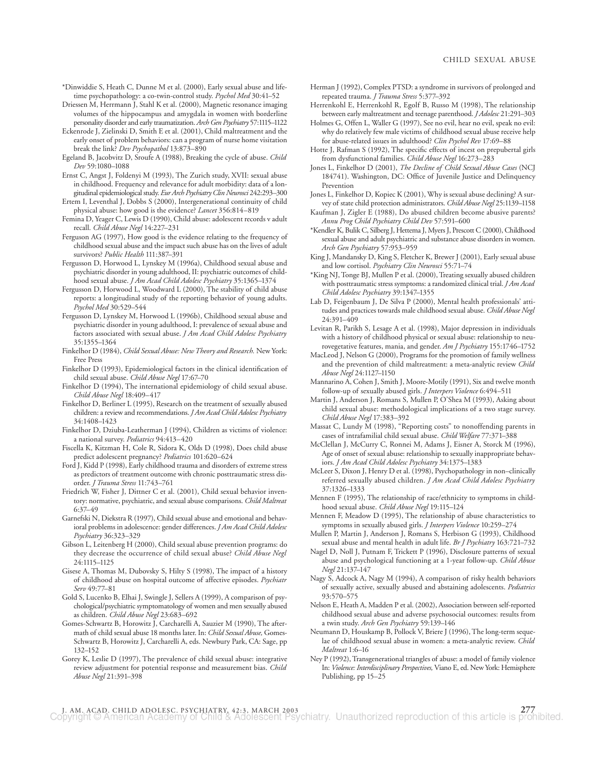- \*Dinwiddie S, Heath C, Dunne M et al. (2000), Early sexual abuse and lifetime psychopathology: a co-twin-control study. *Psychol Med* 30:41–52
- Driessen M, Herrmann J, Stahl K et al. (2000), Magnetic resonance imaging volumes of the hippocampus and amygdala in women with borderline personality disorder and early traumatization. *Arch Gen Psychiatry* 57:1115–1122
- Eckenrode J, Zielinski D, Smith E et al. (2001), Child maltreatment and the early onset of problem behaviors: can a program of nurse home visitation break the link? *Dev Psychopathol* 13:873–890
- Egeland B, Jacobvitz D, Sroufe A (1988), Breaking the cycle of abuse. *Child Dev* 59:1080–1088
- Ernst C, Angst J, Foldenyi M (1993), The Zurich study, XVII: sexual abuse in childhood. Frequency and relevance for adult morbidity: data of a longitudinal epidemiological study. *Eur Arch Psychiatry Clin Neurosci* 242:293–300
- Ertem I, Leventhal J, Dobbs S (2000), Intergenerational continuity of child physical abuse: how good is the evidence? *Lancet* 356:814–819
- Femina D, Yeager C, Lewis D (1990), Child abuse: adolescent records v adult recall. *Child Abuse Negl* 14:227–231
- Ferguson AG (1997), How good is the evidence relating to the frequency of childhood sexual abuse and the impact such abuse has on the lives of adult survivors? *Public Health* 111:387–391
- Fergusson D, Horwood L, Lynskey M (1996a), Childhood sexual abuse and psychiatric disorder in young adulthood, II: psychiatric outcomes of childhood sexual abuse. *J Am Acad Child Adolesc Psychiatry* 35:1365–1374
- Fergusson D, Horwood L, Woodward L (2000), The stability of child abuse reports: a longitudinal study of the reporting behavior of young adults. *Psychol Med* 30:529–544
- Fergusson D, Lynskey M, Horwood L (1996b), Childhood sexual abuse and psychiatric disorder in young adulthood, I: prevalence of sexual abuse and factors associated with sexual abuse. *J Am Acad Child Adolesc Psychiatry* 35:1355–1364
- Finkelhor D (1984), *Child Sexual Abuse: New Theory and Research.* New York: Free Press
- Finkelhor D (1993), Epidemiological factors in the clinical identification of child sexual abuse. *Child Abuse Negl* 17:67–70
- Finkelhor D (1994), The international epidemiology of child sexual abuse. *Child Abuse Negl* 18:409–417
- Finkelhor D, Berliner L (1995), Research on the treatment of sexually abused children: a review and recommendations. *J Am Acad Child Adolesc Psychiatry* 34:1408–1423
- Finkelhor D, Dziuba-Leatherman J (1994), Children as victims of violence: a national survey. *Pediatrics* 94:413–420
- Fiscella K, Kitzman H, Cole R, Sidora K, Olds D (1998), Does child abuse predict adolescent pregnancy? *Pediatrics* 101:620–624
- Ford J, Kidd P (1998), Early childhood trauma and disorders of extreme stress as predictors of treatment outcome with chronic posttraumatic stress disorder. *J Trauma Stress* 11:743–761
- Friedrich W, Fisher J, Dittner C et al. (2001), Child sexual behavior inventory: normative, psychiatric, and sexual abuse comparisons. *Child Maltreat* 6:37–49
- Garnefski N, Diekstra R (1997), Child sexual abuse and emotional and behavioral problems in adolescence: gender differences. *J Am Acad Child Adolesc Psychiatry* 36:323–329
- Gibson L, Leitenberg H (2000), Child sexual abuse prevention programs: do they decrease the occurrence of child sexual abuse? *Child Abuse Negl* 24:1115–1125
- Gisese A, Thomas M, Dubovsky S, Hilty S (1998), The impact of a history of childhood abuse on hospital outcome of affective episodes. *Psychiatr Serv* 49:77–81
- Gold S, Lucenko B, Elhai J, Swingle J, Sellers A (1999), A comparison of psychological/psychiatric symptomatology of women and men sexually abused as children. *Child Abuse Negl* 23:683–692
- Gomes-Schwartz B, Horowitz J, Carcharelli A, Sauzier M (1990), The aftermath of child sexual abuse 18 months later. In: *Child Sexual Abuse,* Gomes-Schwartz B, Horowitz J, Carcharelli A, eds. Newbury Park, CA: Sage, pp 132–152
- Gorey K, Leslie D (1997), The prevalence of child sexual abuse: integrative review adjustment for potential response and measurement bias. *Child Abuse Negl* 21:391–398
- Herman J (1992), Complex PTSD: a syndrome in survivors of prolonged and repeated trauma. *J Trauma Stress* 5:377–392
- Herrenkohl E, Herrenkohl R, Egolf B, Russo M (1998), The relationship between early maltreatment and teenage parenthood. *J Adolesc* 21:291–303
- Holmes G, Offen L, Waller G (1997), See no evil, hear no evil, speak no evil: why do relatively few male victims of childhood sexual abuse receive help for abuse-related issues in adulthood? *Clin Psychol Rev* 17:69–88
- Hotte J, Rafman S (1992), The specific effects of incest on prepubertal girls from dysfunctional families. *Child Abuse Negl* 16:273–283
- Jones L, Finkelhor D (2001), *The Decline of Child Sexual Abuse Cases* (NCJ 184741). Washington, DC: Office of Juvenile Justice and Delinquency Prevention
- Jones L, Finkelhor D, Kopiec K (2001), Why is sexual abuse declining? A survey of state child protection administrators. *Child Abuse Negl* 25:1139–1158
- Kaufman J, Zigler E (1988), Do abused children become abusive parents? *Annu Prog Child Psychiatry Child Dev* 57:591–600
- \*Kendler K, Bulik C, Silberg J, Hettema J, Myers J, Prescott C (2000), Childhood sexual abuse and adult psychiatric and substance abuse disorders in women. *Arch Gen Psychiatry* 57:953–959
- King J, Mandansky D, King S, Fletcher K, Brewer J (2001), Early sexual abuse and low cortisol. *Psychiatry Clin Neurosci* 55:71–74
- \*King NJ, Tonge BJ, Mullen P et al. (2000), Treating sexually abused children with posttraumatic stress symptoms: a randomized clinical trial. *J Am Acad Child Adolesc Psychiatry* 39:1347–1355
- Lab D, Feigenbaum J, De Silva P (2000), Mental health professionals' attitudes and practices towards male childhood sexual abuse. *Child Abuse Negl* 24:391–409
- Levitan R, Parikh S, Lesage A et al. (1998), Major depression in individuals with a history of childhood physical or sexual abuse: relationship to neurovegetative features, mania, and gender. *Am J Psychiatry* 155:1746–1752
- MacLeod J, Nelson G (2000), Programs for the promotion of family wellness and the prevention of child maltreatment: a meta-analytic review *Child Abuse Negl* 24:1127–1150
- Mannarino A, Cohen J, Smith J, Moore-Motily (1991), Six and twelve month follow-up of sexually abused girls. *J Interpers Violence* 6:494–511
- Martin J, Anderson J, Romans S, Mullen P, O'Shea M (1993), Asking about child sexual abuse: methodological implications of a two stage survey. *Child Abuse Negl* 17:383–392
- Massat C, Lundy M (1998), "Reporting costs" to nonoffending parents in cases of intrafamilial child sexual abuse. *Child Welfare* 77:371–388
- McClellan J, McCurry C, Ronnei M, Adams J, Eisner A, Storck M (1996), Age of onset of sexual abuse: relationship to sexually inappropriate behaviors. *J Am Acad Child Adolesc Psychiatry* 34:1375–1383
- McLeer S, Dixon J, Henry D et al. (1998), Psychopathology in non–clinically referred sexually abused children. *J Am Acad Child Adolesc Psychiatry* 37:1326–1333
- Mennen F (1995), The relationship of race/ethnicity to symptoms in childhood sexual abuse. *Child Abuse Negl* 19:115–124
- Mennen F, Meadow D (1995), The relationship of abuse characteristics to symptoms in sexually abused girls. *J Interpers Violence* 10:259–274
- Mullen P, Martin J, Anderson J, Romans S, Herbison G (1993), Childhood sexual abuse and mental health in adult life. *Br J Psychiatry* 163:721–732
- Nagel D, Noll J, Putnam F, Trickett P (1996), Disclosure patterns of sexual abuse and psychological functioning at a 1-year follow-up. *Child Abuse Negl* 21:137–147
- Nagy S, Adcock A, Nagy M (1994), A comparison of risky health behaviors of sexually active, sexually abused and abstaining adolescents. *Pediatrics* 93:570–575
- Nelson E, Heath A, Madden P et al. (2002), Association between self-reported childhood sexual abuse and adverse psychosocial outcomes: results from a twin study. *Arch Gen Psychiatry* 59:139–146
- Neumann D, Houskamp B, Pollock V, Briere J (1996), The long-term sequelae of childhood sexual abuse in women: a meta-analytic review. *Child Maltreat* 1:6–16
- Ney P (1992), Transgenerational triangles of abuse: a model of family violence In: *Violence: Interdisciplinary Perspectives,*Viano E, ed. New York: Hemisphere Publishing, pp 15–25